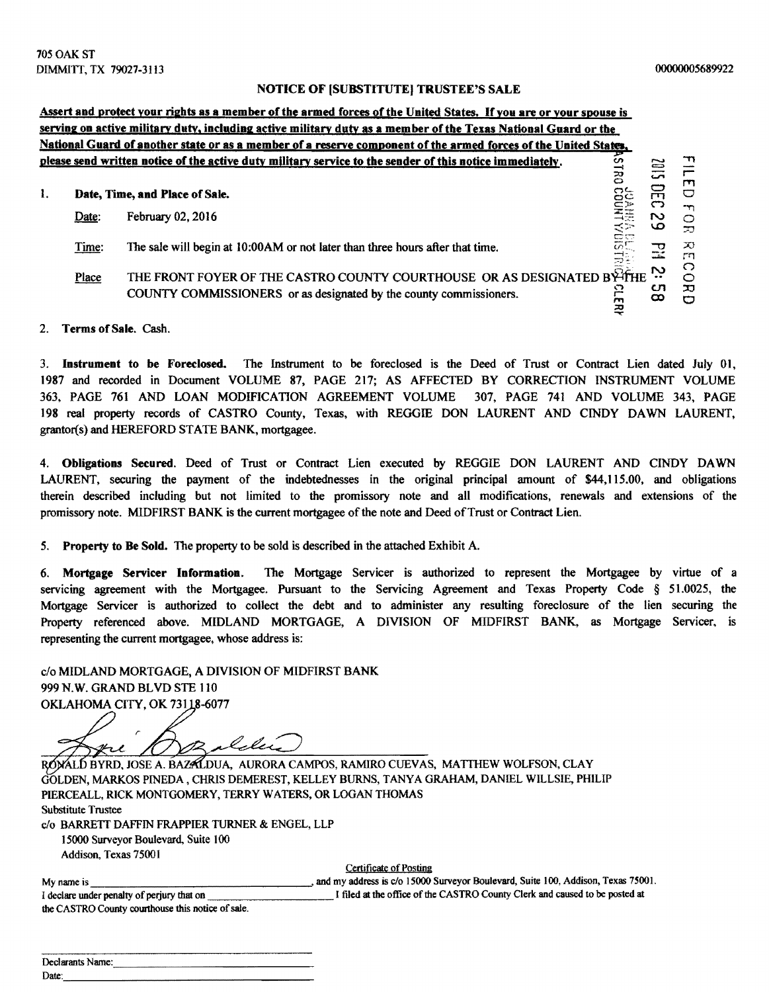## NOTICE OF (SUBSTITUTE) TRUSTEE'S SALE

|     |       | Assert and protect your rights as a member of the armed forces of the United States. If you are or your spouse is                            |                     |               |                         |
|-----|-------|----------------------------------------------------------------------------------------------------------------------------------------------|---------------------|---------------|-------------------------|
|     |       | serving on active military duty, including active military duty as a member of the Texas National Guard or the                               |                     |               |                         |
|     |       | National Guard of another state or as a member of a reserve component of the armed forces of the United States,                              |                     |               |                         |
|     |       | please send written notice of the active duty military service to the sender of this notice immediately.                                     | ဟ<br>$\overline{a}$ | $\equiv$<br>S | דד<br>m                 |
| -1. |       | Date, Time, and Place of Sale.                                                                                                               |                     | 叧<br>ෆ        | $\Box$<br>$\mathcal{L}$ |
|     | Date: | February 02, 2016                                                                                                                            | SION LHOOD          | N<br>ص        | C<br>20                 |
|     | Time: | The sale will begin at 10:00AM or not later than three hours after that time.                                                                |                     | ᠊ᠸ<br>مست     | X)<br>гп<br>◠           |
|     | Place | THE FRONT FOYER OF THE CASTRO COUNTY COURTHOUSE OR AS DESIGNATED BYTHE<br>COUNTY COMMISSIONERS or as designated by the county commissioners. | ဥ<br>m<br>₹         | N<br>cл<br>ထ  | O<br>ᄁ                  |

## 2. Terms of Sale. Cash.

3. Instrument to be Foreclosed. The Instrument to be foreclosed is the Deed of Trust or Contract Lien dated July 01, 1987 and recorded in Document VOLUME 87, PAGE 217; AS AFFECTED BY CORRECTION INSTRUMENT VOLUME 363, PAGE 761 AND LOAN MODIFICATION AGREEMENT VOLUME 307, PAGE 741 AND VOLUME 343, PAGE 198 real property records of CASTRO County, Texas, with REGGIE DON LAURENT AND CINDY DAWN LAURENT, grantor(s) and HEREFORD STATE BANK, mortgagee.

4. Obligations Secured. Deed of Trust or Contract Lien executed by REGGIE DON LAURENT AND CINDY DAWN LAURENT, securing the payment of the indebtednesses in the original principal amount of \$44,115.00, and obligations therein described including but not limited to the promissory note and all modifications, renewals and extensions of the promissory note. MIDFIRST BANK is the current mortgagee of the note and Deed of Trust or Contract Lien.

5. Property to Be Sold. The property to be sold is described in the attached Exhibit A.

6. Mortgage Servicer Information. The Mortgage Servicer is authorized to represent the Mortgagee by virtue of a servicing agreement with the Mortgagee. Pursuant to the Servicing Agreement and Texas Property Code § 51.0025, the Mortgage Servicer is authorized to collect the debt and to administer any resulting foreclosure of the lien securing the Property referenced above. MIDLAND MORTGAGE, A DIVISION OF MIDFIRST BANK, as Mortgage Servicer, is representing the current mortgagee, whose address is:

c/o MIDLAND MORTGAGE, A DIVISION OF MIDFIRST BANK 999N.W. GRAND BLVD STE 110 OKLAHOMA CITY, OK 73118-6077

ilelei

RONALD BYRD, JOSE A. BAZALDUA, AURORA CAMPOS, RAMIRO CUEVAS, MATTHEW WOLFSON, CLAY GOLDEN, MARKOS PINEDA, CHRIS DEMEREST, KELLEY BURNS, TANYA GRAHAM, DANIEL WlLLSIE, PHILIP PIERCEALL, RICK MONTGOMERY, TERRY WATERS, OR LOGAN THOMAS Substitute Trustee c/o BARRETT DAFFIN FRAPPIER TURNER & ENGEL, LLP

15000 Surveyor Boulevard, Suite 100 Addison, Texas 75001

Certificate of Posting

|                                                   | Certificate of Posting                                                           |
|---------------------------------------------------|----------------------------------------------------------------------------------|
| My name is                                        | and my address is c/o 15000 Surveyor Boulevard, Suite 100, Addison, Texas 75001. |
| I declare under penalty of perjury that on        | I filed at the office of the CASTRO County Clerk and caused to be posted at      |
| the CASTRO County courthouse this notice of sale. |                                                                                  |

| Declarants Name: |
|------------------|
| Date:            |
|                  |